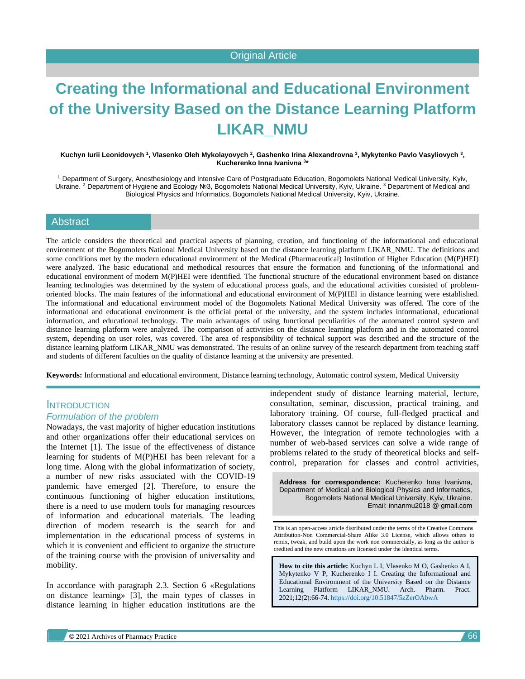# **Creating the Informational and Educational Environment of the University Based on the Distance Learning Platform LIKAR\_NMU**

#### **Kuchyn Iurii Leonidovych <sup>1</sup> , Vlasenko Oleh Mykolayovych <sup>2</sup> , Gashenko Irina Alexandrovna <sup>3</sup> , Mykytenko Pavlo Vasyliovych <sup>3</sup> , Kucherenko Inna Ivanivna <sup>3</sup> \***

<sup>1</sup> Department of Surgery, Anesthesiology and Intensive Care of Postgraduate Education, Bogomolets National Medical University, Kyiv, Ukraine. <sup>2</sup> Department of Hygiene and Ecology Nº3, Bogomolets National Medical University, Kyiv, Ukraine. <sup>3</sup> Department of Medical and Biological Physics and Informatics, Bogomolets National Medical University, Kyiv, Ukraine.

#### **Abstract**

The article considers the theoretical and practical aspects of planning, creation, and functioning of the informational and educational environment of the Bogomolets National Medical University based on the distance learning platform LIKAR\_NMU. The definitions and some conditions met by the modern educational environment of the Medical (Pharmaceutical) Institution of Higher Education (M(P)HEI) were analyzed. The basic educational and methodical resources that ensure the formation and functioning of the informational and educational environment of modern M(P)HEI were identified. The functional structure of the educational environment based on distance learning technologies was determined by the system of educational process goals, and the educational activities consisted of problemoriented blocks. The main features of the informational and educational environment of M(P)HEI in distance learning were established. The informational and educational environment model of the Bogomolets National Medical University was offered. The core of the informational and educational environment is the official portal of the university, and the system includes informational, educational information, and educational technology. The main advantages of using functional peculiarities of the automated control system and distance learning platform were analyzed. The comparison of activities on the distance learning platform and in the automated control system, depending on user roles, was covered. The area of responsibility of technical support was described and the structure of the distance learning platform LIKAR\_NMU was demonstrated. The results of an online survey of the research department from teaching staff and students of different faculties on the quality of distance learning at the university are presented.

**Keywords:** Informational and educational environment, Distance learning technology, Automatic control system, Medical University

## **INTRODUCTION**

## *Formulation of the problem*

Nowadays, the vast majority of higher education institutions and other organizations offer their educational services on the Internet [1]. The issue of the effectiveness of distance learning for students of M(P)HEI has been relevant for a long time. Along with the global informatization of society, a number of new risks associated with the COVID-19 pandemic have emerged [2]. Therefore, to ensure the continuous functioning of higher education institutions, there is a need to use modern tools for managing resources of information and educational materials. The leading direction of modern research is the search for and implementation in the educational process of systems in which it is convenient and efficient to organize the structure of the training course with the provision of universality and mobility.

In accordance with paragraph 2.3. Section 6 «Regulations on distance learning» [3], the main types of classes in distance learning in higher education institutions are the independent study of distance learning material, lecture, consultation, seminar, discussion, practical training, and laboratory training. Of course, full-fledged practical and laboratory classes cannot be replaced by distance learning. However, the integration of remote technologies with a number of web-based services can solve a wide range of problems related to the study of theoretical blocks and selfcontrol, preparation for classes and control activities,

**Address for correspondence:** Kucherenko Inna Ivanivna, Department of Medical and Biological Physics and Informatics, Bogomolets National Medical University, Kyiv, Ukraine. Email: innanmu2018 @ gmail.com

This is an open-access article distributed under the terms of the Creative Commons Attribution-Non Commercial-Share Alike 3.0 License, which allows others to remix, tweak, and build upon the work non commercially, as long as the author is credited and the new creations are licensed under the identical terms.

**How to cite this article:** Kuchyn L I, Vlasenko M O, Gashenko A I, Mykytenko V P, Kucherenko I I. Creating the Informational and Educational Environment of the University Based on the Distance Learning Platform LIKAR\_NMU. Arch. Pharm. Pract. 2021;12(2):66-74. <https://doi.org/10.51847/5zZerOAbwA>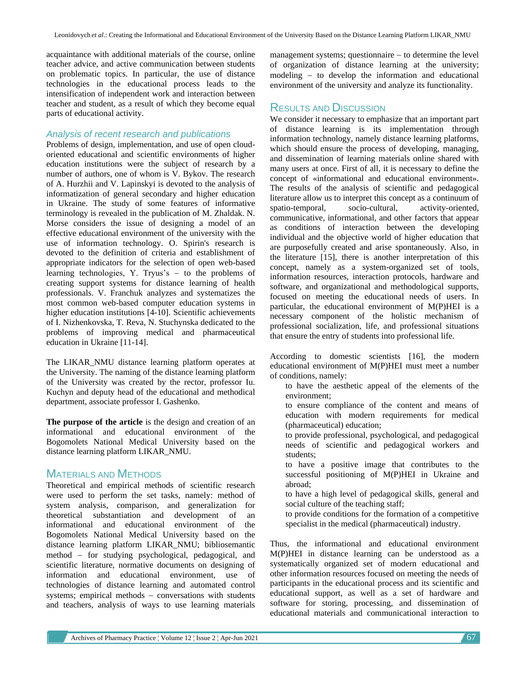acquaintance with additional materials of the course, online teacher advice, and active communication between students on problematic topics. In particular, the use of distance technologies in the educational process leads to the intensification of independent work and interaction between teacher and student, as a result of which they become equal parts of educational activity.

#### *Analysis of recent research and publications*

Problems of design, implementation, and use of open cloudoriented educational and scientific environments of higher education institutions were the subject of research by a number of authors, one of whom is V. Bykov. The research of A. Hurzhii and V. Lapinskyi is devoted to the analysis of informatization of general secondary and higher education in Ukraine. The study of some features of informative terminology is revealed in the publication of M. Zhaldak. N. Morse considers the issue of designing a model of an effective educational environment of the university with the use of information technology. O. Spirin's research is devoted to the definition of criteria and establishment of appropriate indicators for the selection of open web-based learning technologies, Y. Tryus's − to the problems of creating support systems for distance learning of health professionals. V. Franchuk analyzes and systematizes the most common web-based computer education systems in higher education institutions [4-10]. Scientific achievements of I. Nizhenkovska, T. Reva, N. Stuchynska dedicated to the problems of improving medical and pharmaceutical education in Ukraine [11-14].

The LIKAR\_NMU distance learning platform operates at the University. The naming of the distance learning platform of the University was created by the rector, professor Iu. Kuchyn and deputy head of the educational and methodical department, associate professor I. Gashenko.

**The purpose of the article** is the design and creation of an informational and educational environment of the Bogomolets National Medical University based on the distance learning platform LIKAR\_NMU.

### MATERIALS AND METHODS

Theoretical and empirical methods of scientific research were used to perform the set tasks, namely: method of system analysis, comparison, and generalization for theoretical substantiation and development of an informational and educational environment of the Bogomolets National Medical University based on the distance learning platform LIKAR\_NMU; bibliosemantic method − for studying psychological, pedagogical, and scientific literature, normative documents on designing of information and educational environment, use of technologies of distance learning and automated control systems; empirical methods – conversations with students and teachers, analysis of ways to use learning materials

management systems; questionnaire − to determine the level of organization of distance learning at the university; modeling − to develop the information and educational environment of the university and analyze its functionality.

## RESULTS AND DISCUSSION

We consider it necessary to emphasize that an important part of distance learning is its implementation through information technology, namely distance learning platforms, which should ensure the process of developing, managing, and dissemination of learning materials online shared with many users at once. First of all, it is necessary to define the concept of «informational and educational environment». The results of the analysis of scientific and pedagogical literature allow us to interpret this concept as a continuum of spatio-temporal, socio-cultural, activity-oriented, communicative, informational, and other factors that appear as conditions of interaction between the developing individual and the objective world of higher education that are purposefully created and arise spontaneously. Also, in the literature [15], there is another interpretation of this concept, namely as a system-organized set of tools, information resources, interaction protocols, hardware and software, and organizational and methodological supports, focused on meeting the educational needs of users. In particular, the educational environment of M(P)HEI is a necessary component of the holistic mechanism of professional socialization, life, and professional situations that ensure the entry of students into professional life.

According to domestic scientists [16], the modern educational environment of M(P)HEI must meet a number of conditions, namely:

- to have the aesthetic appeal of the elements of the environment;
- to ensure compliance of the content and means of education with modern requirements for medical (pharmaceutical) education;
- to provide professional, psychological, and pedagogical needs of scientific and pedagogical workers and students;
- to have a positive image that contributes to the successful positioning of M(P)HEI in Ukraine and abroad;
- to have a high level of pedagogical skills, general and social culture of the teaching staff;
- to provide conditions for the formation of a competitive specialist in the medical (pharmaceutical) industry.

Thus, the informational and educational environment M(P)HEI in distance learning can be understood as a systematically organized set of modern educational and other information resources focused on meeting the needs of participants in the educational process and its scientific and educational support, as well as a set of hardware and software for storing, processing, and dissemination of educational materials and communicational interaction to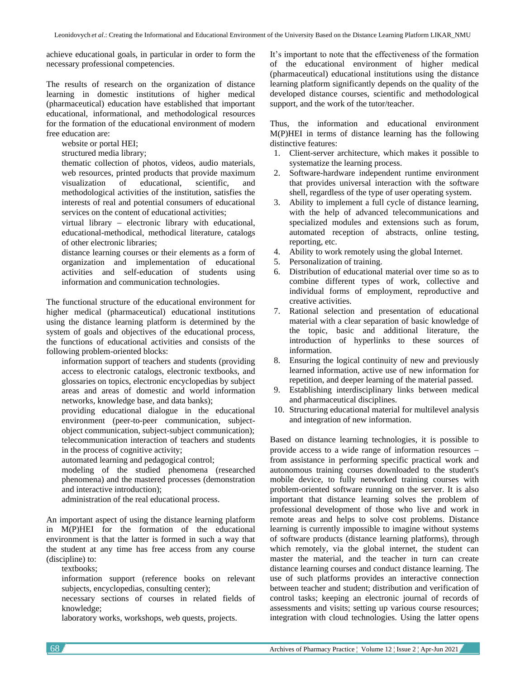achieve educational goals, in particular in order to form the necessary professional competencies.

The results of research on the organization of distance learning in domestic institutions of higher medical (pharmaceutical) education have established that important educational, informational, and methodological resources for the formation of the educational environment of modern free education are:

website or portal HEI;

structured media library;

thematic collection of photos, videos, audio materials, web resources, printed products that provide maximum visualization of educational, scientific, and methodological activities of the institution, satisfies the interests of real and potential consumers of educational services on the content of educational activities;

virtual library − electronic library with educational, educational-methodical, methodical literature, catalogs of other electronic libraries;

distance learning courses or their elements as a form of organization and implementation of educational activities and self-education of students using information and communication technologies.

The functional structure of the educational environment for higher medical (pharmaceutical) educational institutions using the distance learning platform is determined by the system of goals and objectives of the educational process, the functions of educational activities and consists of the following problem-oriented blocks:

information support of teachers and students (providing access to electronic catalogs, electronic textbooks, and glossaries on topics, electronic encyclopedias by subject areas and areas of domestic and world information networks, knowledge base, and data banks);

providing educational dialogue in the educational environment (peer-to-peer communication, subjectobject communication, subject-subject communication); telecommunication interaction of teachers and students in the process of cognitive activity;

automated learning and pedagogical control;

modeling of the studied phenomena (researched phenomena) and the mastered processes (demonstration and interactive introduction);

administration of the real educational process.

An important aspect of using the distance learning platform in M(P)HEI for the formation of the educational environment is that the latter is formed in such a way that the student at any time has free access from any course (discipline) to:

textbooks;

information support (reference books on relevant subjects, encyclopedias, consulting center);

necessary sections of courses in related fields of knowledge;

laboratory works, workshops, web quests, projects.

It's important to note that the effectiveness of the formation of the educational environment of higher medical (pharmaceutical) educational institutions using the distance learning platform significantly depends on the quality of the developed distance courses, scientific and methodological support, and the work of the tutor/teacher.

Thus, the information and educational environment M(P)HEI in terms of distance learning has the following distinctive features:

- 1. Client-server architecture, which makes it possible to systematize the learning process.
- 2. Software-hardware independent runtime environment that provides universal interaction with the software shell, regardless of the type of user operating system.
- 3. Ability to implement a full cycle of distance learning, with the help of advanced telecommunications and specialized modules and extensions such as forum, automated reception of abstracts, online testing, reporting, etc.
- 4. Ability to work remotely using the global Internet.
- 5. Personalization of training.
- 6. Distribution of educational material over time so as to combine different types of work, collective and individual forms of employment, reproductive and creative activities.
- 7. Rational selection and presentation of educational material with a clear separation of basic knowledge of the topic, basic and additional literature, the introduction of hyperlinks to these sources of information.
- 8. Ensuring the logical continuity of new and previously learned information, active use of new information for repetition, and deeper learning of the material passed.
- 9. Establishing interdisciplinary links between medical and pharmaceutical disciplines.
- 10. Structuring educational material for multilevel analysis and integration of new information.

Based on distance learning technologies, it is possible to provide access to a wide range of information resources − from assistance in performing specific practical work and autonomous training courses downloaded to the student's mobile device, to fully networked training courses with problem-oriented software running on the server. It is also important that distance learning solves the problem of professional development of those who live and work in remote areas and helps to solve cost problems. Distance learning is currently impossible to imagine without systems of software products (distance learning platforms), through which remotely, via the global internet, the student can master the material, and the teacher in turn can create distance learning courses and conduct distance learning. The use of such platforms provides an interactive connection between teacher and student; distribution and verification of control tasks; keeping an electronic journal of records of assessments and visits; setting up various course resources; integration with cloud technologies. Using the latter opens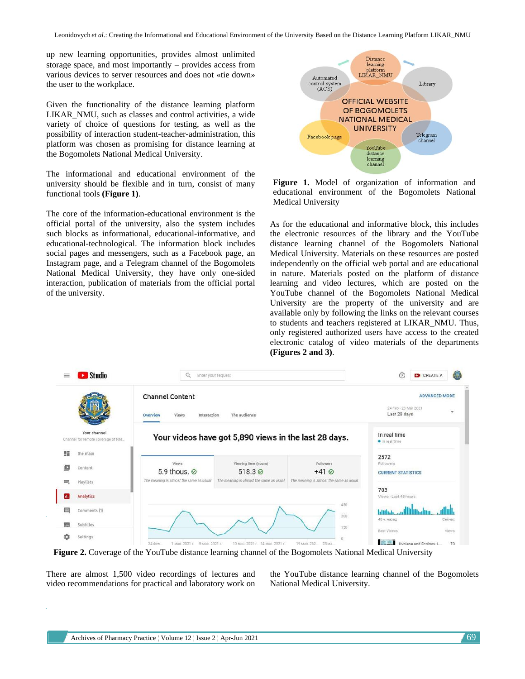Leonidovych *et al*.: Creating the Informational and Educational Environment of the University Based on the Distance Learning Platform LIKAR\_NMU

up new learning opportunities, provides almost unlimited storage space, and most importantly − provides access from various devices to server resources and does not «tie down» the user to the workplace.

Given the functionality of the distance learning platform LIKAR\_NMU, such as classes and control activities, a wide variety of choice of questions for testing, as well as the possibility of interaction student-teacher-administration, this platform was chosen as promising for distance learning at the Bogomolets National Medical University.

The informational and educational environment of the university should be flexible and in turn, consist of many functional tools **(Figure 1)**.

The core of the information-educational environment is the official portal of the university, also the system includes such blocks as informational, educational-informative, and educational-technological. The information block includes social pages and messengers, such as a Facebook page, an Instagram page, and a Telegram channel of the Bogomolets National Medical University, they have only one-sided interaction, publication of materials from the official portal of the university.



**Figure 1.** Model of organization of information and educational environment of the Bogomolets National Medical University

As for the educational and informative block, this includes the electronic resources of the library and the YouTube distance learning channel of the Bogomolets National Medical University. Materials on these resources are posted independently on the official web portal and are educational in nature. Materials posted on the platform of distance learning and video lectures, which are posted on the YouTube channel of the Bogomolets National Medical University are the property of the university and are available only by following the links on the relevant courses to students and teachers registered at LIKAR\_NMU. Thus, only registered authorized users have access to the created electronic catalog of video materials of the departments **(Figures 2 and 3)**.

| $\equiv$ | <b>Studio</b><br>٠.                                | Q                                                                        | Enter your request                                            | $\circledR$<br><b>EM</b> CREATE A                                            |                                                        |  |
|----------|----------------------------------------------------|--------------------------------------------------------------------------|---------------------------------------------------------------|------------------------------------------------------------------------------|--------------------------------------------------------|--|
|          |                                                    | <b>Channel Content</b><br><b>Views</b><br><b>Interaction</b><br>Overview |                                                               | <b>ADVANCED MODE</b><br>24 Feb - 23 Mar 2021<br>$\mathbf{v}$<br>Last 28 days |                                                        |  |
|          | Your channel<br>Channel for remote coverage of NM_ |                                                                          | Your videos have got 5,890 views in the last 28 days.         |                                                                              | In real time<br>· In real time                         |  |
| 脂        | the main                                           |                                                                          |                                                               |                                                                              | 2572                                                   |  |
| D        | Content                                            | Views<br>5.9 thous, $\odot$                                              | Viewing time (hours)<br>$518.3$ <sup><math>\odot</math></sup> | Followers<br>$+41$ $\odot$                                                   | Followers<br><b>CURRENT STATISTICS</b>                 |  |
| 亖        | Playlists                                          | The meaning is almost the same as usual                                  | The meaning is almost the same as usual                       | The meaning is almost the same as usual                                      | 703                                                    |  |
| ht.      | Analytics                                          |                                                                          |                                                               |                                                                              | Views - Last 48 hours                                  |  |
| $\Box$   | Comments (1)                                       |                                                                          |                                                               | 450<br>300                                                                   | 48 ч. назад<br>Cevivac                                 |  |
| 薦        | Subtitles                                          |                                                                          |                                                               | 150                                                                          | Best Videos                                            |  |
| ά        | Settings                                           | 24 des.<br>1 мар. 2021 г. 5 мар. 2021 г.                                 | 10 мар. 2021 г. 14 мар. 2021 г.                               | Đ.<br>19 мар. 202<br>23 ма.                                                  | Views<br><b>PER RE</b><br>Hygiene and Ecology, L<br>73 |  |

**Figure 2.** Coverage of the YouTube distance learning channel of the Bogomolets National Medical University

There are almost 1,500 video recordings of lectures and video recommendations for practical and laboratory work on the YouTube distance learning channel of the Bogomolets National Medical University.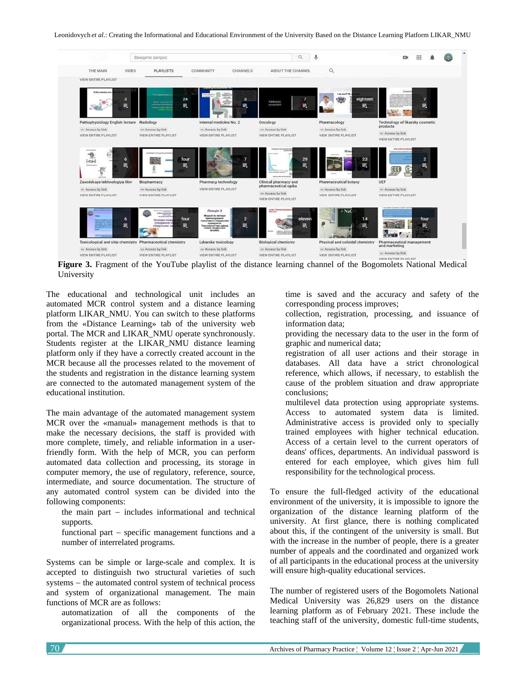

**Figure 3.** Fragment of the YouTube playlist of the distance learning channel of the Bogomolets National Medical University

The educational and technological unit includes an automated MCR control system and a distance learning platform LIKAR\_NMU. You can switch to these platforms from the «Distance Learning» tab of the university web portal. The MCR and LIKAR\_NMU operate synchronously. Students register at the LIKAR\_NMU distance learning platform only if they have a correctly created account in the MCR because all the processes related to the movement of the students and registration in the distance learning system are connected to the automated management system of the educational institution.

The main advantage of the automated management system MCR over the «manual» management methods is that to make the necessary decisions, the staff is provided with more complete, timely, and reliable information in a userfriendly form. With the help of MCR, you can perform automated data collection and processing, its storage in computer memory, the use of regulatory, reference, source, intermediate, and source documentation. The structure of any automated control system can be divided into the following components:

the main part − includes informational and technical supports.

functional part − specific management functions and a number of interrelated programs.

Systems can be simple or large-scale and complex. It is accepted to distinguish two structural varieties of such systems – the automated control system of technical process and system of organizational management. The main functions of MCR are as follows:

automatization of all the components of the organizational process. With the help of this action, the

time is saved and the accuracy and safety of the corresponding process improves;

collection, registration, processing, and issuance of information data;

providing the necessary data to the user in the form of graphic and numerical data;

registration of all user actions and their storage in databases. All data have a strict chronological reference, which allows, if necessary, to establish the cause of the problem situation and draw appropriate conclusions;

multilevel data protection using appropriate systems. Access to automated system data is limited. Administrative access is provided only to specially trained employees with higher technical education. Access of a certain level to the current operators of deans' offices, departments. An individual password is entered for each employee, which gives him full responsibility for the technological process.

To ensure the full-fledged activity of the educational environment of the university, it is impossible to ignore the organization of the distance learning platform of the university. At first glance, there is nothing complicated about this, if the contingent of the university is small. But with the increase in the number of people, there is a greater number of appeals and the coordinated and organized work of all participants in the educational process at the university will ensure high-quality educational services.

The number of registered users of the Bogomolets National Medical University was 26,829 users on the distance learning platform as of February 2021. These include the teaching staff of the university, domestic full-time students,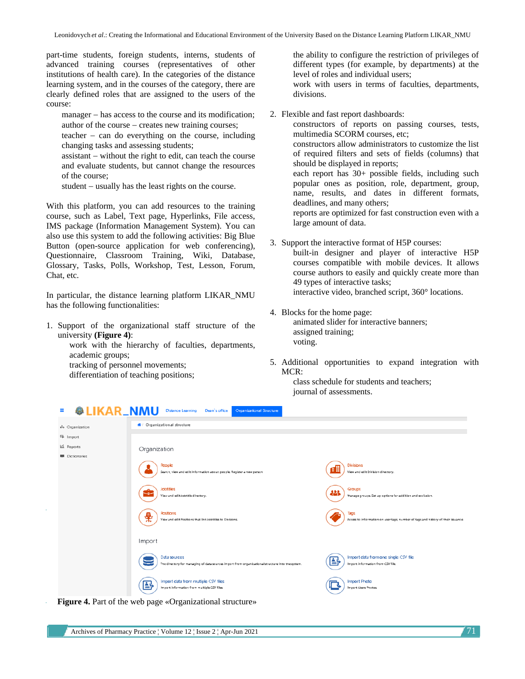part-time students, foreign students, interns, students of advanced training courses (representatives of other institutions of health care). In the categories of the distance learning system, and in the courses of the category, there are clearly defined roles that are assigned to the users of the course:

manager – has access to the course and its modification; author of the course − creates new training courses;

teacher − can do everything on the course, including changing tasks and assessing students;

assistant − without the right to edit, can teach the course and evaluate students, but cannot change the resources of the course;

student − usually has the least rights on the course.

With this platform, you can add resources to the training course, such as Label, Text page, Hyperlinks, File access, IMS package (Information Management System). You can also use this system to add the following activities: Big Blue Button (open-source application for web conferencing), Questionnaire, Classroom Training, Wiki, Database, Glossary, Tasks, Polls, Workshop, Test, Lesson, Forum, Chat, etc.

In particular, the distance learning platform LIKAR\_NMU has the following functionalities:

- 1. Support of the organizational staff structure of the university **(Figure 4)**:
	- work with the hierarchy of faculties, departments, academic groups;

tracking of personnel movements;

and a state

differentiation of teaching positions;

 $-2 - 2 - 2 - 2$ 

the ability to configure the restriction of privileges of different types (for example, by departments) at the level of roles and individual users;

work with users in terms of faculties, departments, divisions.

2. Flexible and fast report dashboards:

constructors of reports on passing courses, tests, multimedia SCORM courses, etc; constructors allow administrators to customize the list of required filters and sets of fields (columns) that should be displayed in reports; each report has 30+ possible fields, including such popular ones as position, role, department, group, name, results, and dates in different formats, deadlines, and many others; reports are optimized for fast construction even with a large amount of data.

- 3. Support the interactive format of H5P courses: built-in designer and player of interactive H5P courses compatible with mobile devices. It allows course authors to easily and quickly create more than 49 types of interactive tasks; interactive video, branched script, 360° locations.
- 4. Blocks for the home page: animated slider for interactive banners; assigned training; voting.
- 5. Additional opportunities to expand integration with MCR:

class schedule for students and teachers; journal of assessments.

| Dean's office<br>Organizational Structure<br><b>Distance Learning</b>                                           |                                                                                           |  |  |  |  |
|-----------------------------------------------------------------------------------------------------------------|-------------------------------------------------------------------------------------------|--|--|--|--|
| ← Organizational structure                                                                                      |                                                                                           |  |  |  |  |
|                                                                                                                 |                                                                                           |  |  |  |  |
|                                                                                                                 |                                                                                           |  |  |  |  |
|                                                                                                                 |                                                                                           |  |  |  |  |
| <b>Reople</b><br>Search, view and edit information about people. Register a new person                          | <b>Divisions</b><br>d<br>View and edit Division directory.                                |  |  |  |  |
| <b>Jobtities</b><br>÷<br>View and edit Jobtitle directory.                                                      | Groups<br>223<br>Manage groups. Set up options for addition and exclusion.                |  |  |  |  |
| <b>Positions</b><br>曼<br>View and edit Positions that link Jobtitles to Divisions.                              | Tags<br>Access to information on user tags, number of tags and history of their issuance. |  |  |  |  |
| Import                                                                                                          |                                                                                           |  |  |  |  |
| Data sources<br>The directory for managing of datasources import from organizational structure into the system. | Import data from one single CSV file<br>B<br>Import information from CSV file.            |  |  |  |  |
| Import data from multiple CSV files<br>B<br>Import information from multiple CSV files.                         | <b>Import Photo</b><br>Import Users Photos.                                               |  |  |  |  |
|                                                                                                                 | Organization<br>$\mathbf{r}$<br>$\sim$ $\sim$ $\sim$ $\sim$ $\sim$ $\sim$                 |  |  |  |  |

**Figure 4.** Part of the web page «Organizational structure»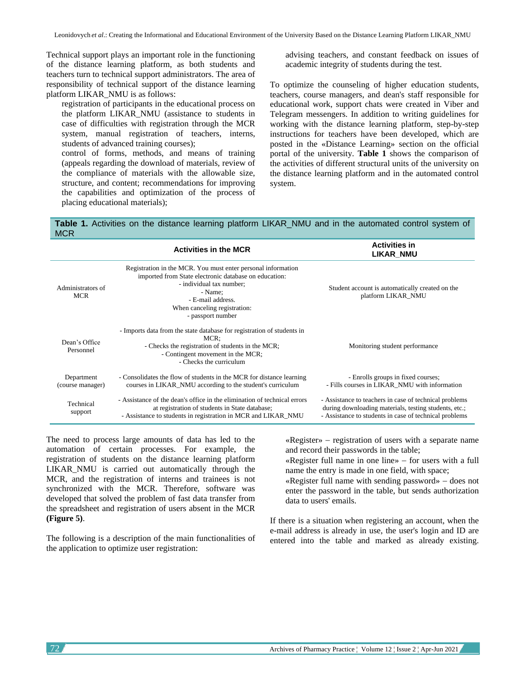Technical support plays an important role in the functioning of the distance learning platform, as both students and teachers turn to technical support administrators. The area of responsibility of technical support of the distance learning platform LIKAR\_NMU is as follows:

registration of participants in the educational process on the platform LIKAR\_NMU (assistance to students in case of difficulties with registration through the MCR system, manual registration of teachers, interns, students of advanced training courses);

control of forms, methods, and means of training (appeals regarding the download of materials, review of the compliance of materials with the allowable size, structure, and content; recommendations for improving the capabilities and optimization of the process of placing educational materials);

advising teachers, and constant feedback on issues of academic integrity of students during the test.

To optimize the counseling of higher education students, teachers, course managers, and dean's staff responsible for educational work, support chats were created in Viber and Telegram messengers. In addition to writing guidelines for working with the distance learning platform, step-by-step instructions for teachers have been developed, which are posted in the «Distance Learning» section on the official portal of the university. **Table 1** shows the comparison of the activities of different structural units of the university on the distance learning platform and in the automated control system.

#### Table 1. Activities on the distance learning platform LIKAR\_NMU and in the automated control system of MCR

|                                 | <b>Activities in the MCR</b>                                                                                                                                                                                                           | <b>Activities in</b><br>LIKAR NMU                                                                                                                                         |  |  |
|---------------------------------|----------------------------------------------------------------------------------------------------------------------------------------------------------------------------------------------------------------------------------------|---------------------------------------------------------------------------------------------------------------------------------------------------------------------------|--|--|
| Administrators of<br><b>MCR</b> | Registration in the MCR. You must enter personal information<br>imported from State electronic database on education:<br>- individual tax number:<br>- Name:<br>- E-mail address.<br>When canceling registration:<br>- passport number | Student account is automatically created on the<br>platform LIKAR_NMU                                                                                                     |  |  |
| Dean's Office<br>Personnel      | - Imports data from the state database for registration of students in<br>MCR:<br>- Checks the registration of students in the MCR;<br>- Contingent movement in the MCR;<br>- Checks the curriculum                                    | Monitoring student performance                                                                                                                                            |  |  |
| Department<br>(course manager)  | - Consolidates the flow of students in the MCR for distance learning<br>courses in LIKAR_NMU according to the student's curriculum                                                                                                     | - Enrolls groups in fixed courses;<br>- Fills courses in LIKAR_NMU with information                                                                                       |  |  |
| Technical<br>support            | - Assistance of the dean's office in the elimination of technical errors<br>at registration of students in State database;<br>- Assistance to students in registration in MCR and LIKAR_NMU                                            | - Assistance to teachers in case of technical problems<br>during downloading materials, testing students, etc.;<br>- Assistance to students in case of technical problems |  |  |

The need to process large amounts of data has led to the automation of certain processes. For example, the registration of students on the distance learning platform LIKAR\_NMU is carried out automatically through the MCR, and the registration of interns and trainees is not synchronized with the MCR. Therefore, software was developed that solved the problem of fast data transfer from the spreadsheet and registration of users absent in the MCR **(Figure 5)**.

The following is a description of the main functionalities of the application to optimize user registration:

«Register» − registration of users with a separate name and record their passwords in the table;

«Register full name in one line» − for users with a full name the entry is made in one field, with space;

«Register full name with sending password» − does not enter the password in the table, but sends authorization data to users' emails.

If there is a situation when registering an account, when the e-mail address is already in use, the user's login and ID are entered into the table and marked as already existing.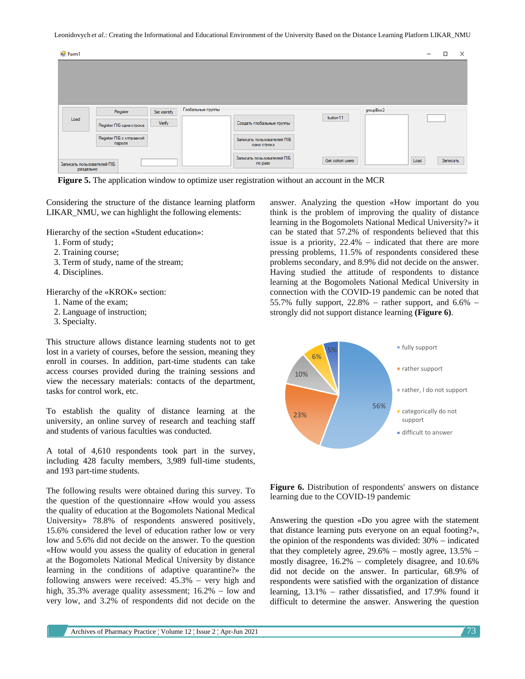Leonidovych *et al*.: Creating the Informational and Educational Environment of the University Based on the Distance Learning Platform LIKAR\_NMU

| <b>Pull</b> Form1                       |                                    |              |                   |                                           |                  |             | $\qquad \qquad$ | $\Box$   | $\times$ |
|-----------------------------------------|------------------------------------|--------------|-------------------|-------------------------------------------|------------------|-------------|-----------------|----------|----------|
|                                         |                                    |              |                   |                                           |                  |             |                 |          |          |
|                                         |                                    |              |                   |                                           |                  |             |                 |          |          |
|                                         |                                    |              |                   |                                           |                  |             |                 |          |          |
|                                         | Register                           | Set identify | Глобальные группы |                                           | button11         | group Box 2 |                 |          |          |
| Load                                    | Register ПІБ одна строка           | Verify       |                   | Создать глобальные группы                 |                  |             |                 |          |          |
|                                         | Register ПІБ с отправкой<br>пароля |              |                   | Записать пользователей ПІБ<br>одна строка |                  |             |                 |          |          |
| Записать пользователей ПІБ<br>раздельно |                                    |              |                   | Записать пользователей ПІБ<br>no pass     | Get cohort users |             | Load            | Записать |          |

**Figure 5.** The application window to optimize user registration without an account in the MCR

Considering the structure of the distance learning platform LIKAR\_NMU, we can highlight the following elements:

Hierarchy of the section «Student education»:

- 1. Form of study;
- 2. Training course;
- 3. Term of study, name of the stream;
- 4. Disciplines.

Hierarchy of the «KROK» section:

- 1. Name of the exam;
- 2. Language of instruction;
- 3. Specialty.

This structure allows distance learning students not to get lost in a variety of courses, before the session, meaning they enroll in courses. In addition, part-time students can take access courses provided during the training sessions and view the necessary materials: contacts of the department, tasks for control work, etc.

To establish the quality of distance learning at the university, an online survey of research and teaching staff and students of various faculties was conducted.

A total of 4,610 respondents took part in the survey, including 428 faculty members, 3,989 full-time students, and 193 part-time students.

The following results were obtained during this survey. To the question of the questionnaire «How would you assess the quality of education at the Bogomolets National Medical University» 78.8% of respondents answered positively, 15.6% considered the level of education rather low or very low and 5.6% did not decide on the answer. To the question «How would you assess the quality of education in general at the Bogomolets National Medical University by distance learning in the conditions of adaptive quarantine?» the following answers were received: 45.3% − very high and high, 35.3% average quality assessment; 16.2% − low and very low, and 3.2% of respondents did not decide on the answer. Analyzing the question «How important do you think is the problem of improving the quality of distance learning in the Bogomolets National Medical University?» it can be stated that 57.2% of respondents believed that this issue is a priority, 22.4% − indicated that there are more pressing problems, 11.5% of respondents considered these problems secondary, and 8.9% did not decide on the answer. Having studied the attitude of respondents to distance learning at the Bogomolets National Medical University in connection with the COVID-19 pandemic can be noted that 55.7% fully support,  $22.8%$  – rather support, and 6.6% – strongly did not support distance learning **(Figure 6)**.



**Figure 6.** Distribution of respondents' answers on distance learning due to the COVID-19 pandemic

Answering the question «Do you agree with the statement that distance learning puts everyone on an equal footing?», the opinion of the respondents was divided: 30% − indicated that they completely agree,  $29.6\%$  – mostly agree,  $13.5\%$  – mostly disagree, 16.2% − completely disagree, and 10.6% did not decide on the answer. In particular, 68.9% of respondents were satisfied with the organization of distance learning, 13.1% − rather dissatisfied, and 17.9% found it difficult to determine the answer. Answering the question